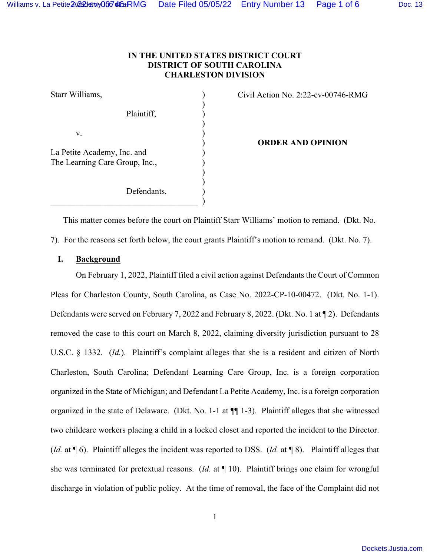# **IN THE UNITED STATES DISTRICT COURT DISTRICT OF SOUTH CAROLINA CHARLESTON DIVISION**

| Starr Williams,                |  |
|--------------------------------|--|
|                                |  |
| Plaintiff,                     |  |
|                                |  |
| v.                             |  |
|                                |  |
| La Petite Academy, Inc. and    |  |
| The Learning Care Group, Inc., |  |
|                                |  |
|                                |  |
| Defendants.                    |  |
|                                |  |

Civil Action No. 2:22-cv-00746-RMG

) **ORDER AND OPINION**

This matter comes before the court on Plaintiff Starr Williams' motion to remand. (Dkt. No.

7). For the reasons set forth below, the court grants Plaintiff's motion to remand. (Dkt. No. 7).

## **I. Background**

 On February 1, 2022, Plaintiff filed a civil action against Defendants the Court of Common Pleas for Charleston County, South Carolina, as Case No. 2022-CP-10-00472. (Dkt. No. 1-1). Defendants were served on February 7, 2022 and February 8, 2022. (Dkt. No. 1 at ¶ 2). Defendants removed the case to this court on March 8, 2022, claiming diversity jurisdiction pursuant to 28 U.S.C. § 1332. (*Id.*). Plaintiff's complaint alleges that she is a resident and citizen of North Charleston, South Carolina; Defendant Learning Care Group, Inc. is a foreign corporation organized in the State of Michigan; and Defendant La Petite Academy, Inc. is a foreign corporation organized in the state of Delaware. (Dkt. No. 1-1 at ¶¶ 1-3). Plaintiff alleges that she witnessed two childcare workers placing a child in a locked closet and reported the incident to the Director. (*Id.* at ¶ 6). Plaintiff alleges the incident was reported to DSS. (*Id.* at ¶ 8). Plaintiff alleges that she was terminated for pretextual reasons. (*Id.* at ¶ 10). Plaintiff brings one claim for wrongful discharge in violation of public policy. At the time of removal, the face of the Complaint did not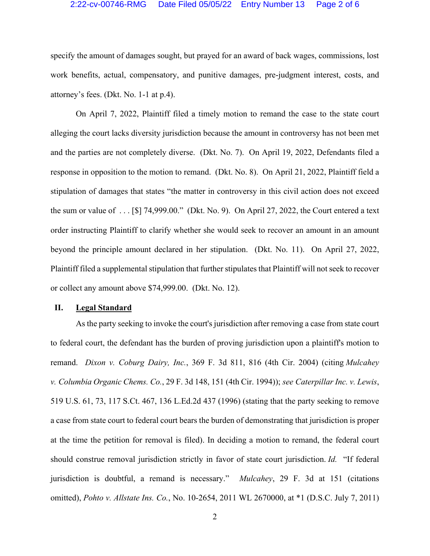#### 2:22-cv-00746-RMG Date Filed 05/05/22 Entry Number 13 Page 2 of 6

specify the amount of damages sought, but prayed for an award of back wages, commissions, lost work benefits, actual, compensatory, and punitive damages, pre-judgment interest, costs, and attorney's fees. (Dkt. No. 1-1 at p.4).

 On April 7, 2022, Plaintiff filed a timely motion to remand the case to the state court alleging the court lacks diversity jurisdiction because the amount in controversy has not been met and the parties are not completely diverse. (Dkt. No. 7). On April 19, 2022, Defendants filed a response in opposition to the motion to remand. (Dkt. No. 8). On April 21, 2022, Plaintiff field a stipulation of damages that states "the matter in controversy in this civil action does not exceed the sum or value of . . . [\$] 74,999.00." (Dkt. No. 9). On April 27, 2022, the Court entered a text order instructing Plaintiff to clarify whether she would seek to recover an amount in an amount beyond the principle amount declared in her stipulation. (Dkt. No. 11). On April 27, 2022, Plaintiff filed a supplemental stipulation that further stipulates that Plaintiff will not seek to recover or collect any amount above \$74,999.00. (Dkt. No. 12).

### **II. Legal Standard**

As the party seeking to invoke the court's jurisdiction after removing a case from state court to federal court, the defendant has the burden of proving jurisdiction upon a plaintiff's motion to remand. *Dixon v. Coburg Dairy, Inc.*, 369 F. 3d 811, 816 (4th Cir. 2004) (citing *Mulcahey v. Columbia Organic Chems. Co.*, 29 F. 3d 148, 151 (4th Cir. 1994)); *see Caterpillar Inc. v. Lewis*, 519 U.S. 61, 73, 117 S.Ct. 467, 136 L.Ed.2d 437 (1996) (stating that the party seeking to remove a case from state court to federal court bears the burden of demonstrating that jurisdiction is proper at the time the petition for removal is filed). In deciding a motion to remand, the federal court should construe removal jurisdiction strictly in favor of state court jurisdiction. *Id.* "If federal jurisdiction is doubtful, a remand is necessary." *Mulcahey*, 29 F. 3d at 151 (citations omitted), *Pohto v. Allstate Ins. Co.*, No. 10-2654, 2011 WL 2670000, at \*1 (D.S.C. July 7, 2011)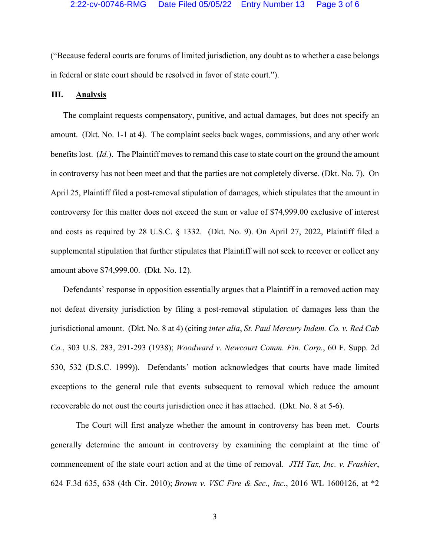("Because federal courts are forums of limited jurisdiction, any doubt as to whether a case belongs in federal or state court should be resolved in favor of state court.").

### **III. Analysis**

The complaint requests compensatory, punitive, and actual damages, but does not specify an amount. (Dkt. No. 1-1 at 4). The complaint seeks back wages, commissions, and any other work benefits lost. (*Id.*). The Plaintiff moves to remand this case to state court on the ground the amount in controversy has not been meet and that the parties are not completely diverse. (Dkt. No. 7). On April 25, Plaintiff filed a post-removal stipulation of damages, which stipulates that the amount in controversy for this matter does not exceed the sum or value of \$74,999.00 exclusive of interest and costs as required by 28 U.S.C. § 1332. (Dkt. No. 9). On April 27, 2022, Plaintiff filed a supplemental stipulation that further stipulates that Plaintiff will not seek to recover or collect any amount above \$74,999.00. (Dkt. No. 12).

Defendants' response in opposition essentially argues that a Plaintiff in a removed action may not defeat diversity jurisdiction by filing a post-removal stipulation of damages less than the jurisdictional amount. (Dkt. No. 8 at 4) (citing *inter alia*, *St. Paul Mercury Indem. Co. v. Red Cab Co.*, 303 U.S. 283, 291-293 (1938); *Woodward v. Newcourt Comm. Fin. Corp.*, 60 F. Supp. 2d 530, 532 (D.S.C. 1999)). Defendants' motion acknowledges that courts have made limited exceptions to the general rule that events subsequent to removal which reduce the amount recoverable do not oust the courts jurisdiction once it has attached. (Dkt. No. 8 at 5-6).

The Court will first analyze whether the amount in controversy has been met. Courts generally determine the amount in controversy by examining the complaint at the time of commencement of the state court action and at the time of removal. *JTH Tax, Inc. v. Frashier*, 624 F.3d 635, 638 (4th Cir. 2010); *Brown v. VSC Fire & Sec., Inc.*, 2016 WL 1600126, at \*2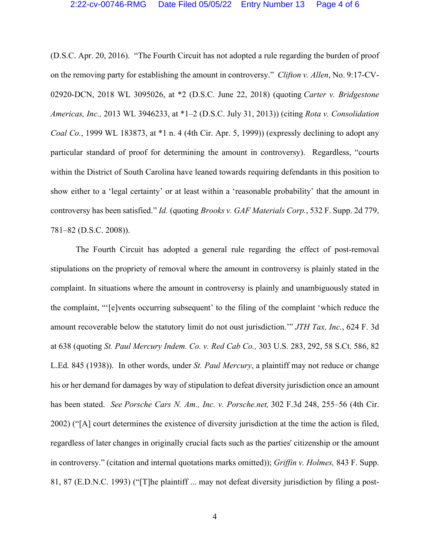(D.S.C. Apr. 20, 2016). "The Fourth Circuit has not adopted a rule regarding the burden of proof on the removing party for establishing the amount in controversy." *Clifton v. Allen*, No. 9:17-CV-02920-DCN, 2018 WL 3095026, at \*2 (D.S.C. June 22, 2018) (quoting *Carter v. Bridgestone Americas, Inc.,* 2013 WL 3946233, at \*1–2 (D.S.C. July 31, 2013)) (citing *Rota v. Consolidation Coal Co.*, 1999 WL 183873, at \*1 n. 4 (4th Cir. Apr. 5, 1999)) (expressly declining to adopt any particular standard of proof for determining the amount in controversy). Regardless, "courts within the District of South Carolina have leaned towards requiring defendants in this position to show either to a 'legal certainty' or at least within a 'reasonable probability' that the amount in controversy has been satisfied." *Id.* (quoting *Brooks v. GAF Materials Corp.*, 532 F. Supp. 2d 779, 781–82 (D.S.C. 2008)).

The Fourth Circuit has adopted a general rule regarding the effect of post-removal stipulations on the propriety of removal where the amount in controversy is plainly stated in the complaint. In situations where the amount in controversy is plainly and unambiguously stated in the complaint, "'[e]vents occurring subsequent' to the filing of the complaint 'which reduce the amount recoverable below the statutory limit do not oust jurisdiction.'" *JTH Tax, Inc.*, 624 F. 3d at 638 (quoting *St. Paul Mercury Indem. Co. v. Red Cab Co.,* 303 U.S. 283, 292, 58 S.Ct. 586, 82 L.Ed. 845 (1938)). In other words, under *St. Paul Mercury*, a plaintiff may not reduce or change his or her demand for damages by way of stipulation to defeat diversity jurisdiction once an amount has been stated. *See Porsche Cars N. Am., Inc. v. Porsche.net,* 302 F.3d 248, 255–56 (4th Cir. 2002) ("[A] court determines the existence of diversity jurisdiction at the time the action is filed, regardless of later changes in originally crucial facts such as the parties' citizenship or the amount in controversy." (citation and internal quotations marks omitted)); *Griffin v. Holmes,* 843 F. Supp. 81, 87 (E.D.N.C. 1993) ("[T]he plaintiff ... may not defeat diversity jurisdiction by filing a post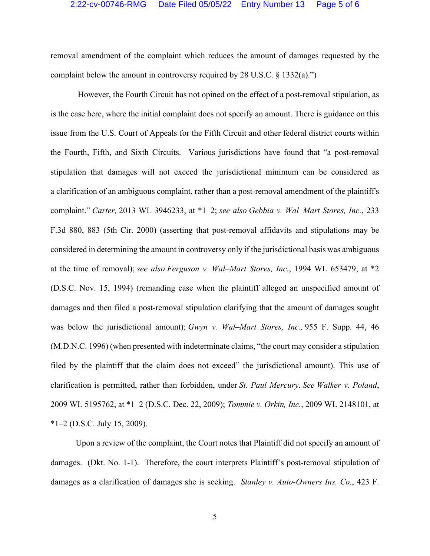removal amendment of the complaint which reduces the amount of damages requested by the complaint below the amount in controversy required by 28 U.S.C.  $\S$  1332(a).")

 However, the Fourth Circuit has not opined on the effect of a post-removal stipulation, as is the case here, where the initial complaint does not specify an amount. There is guidance on this issue from the U.S. Court of Appeals for the Fifth Circuit and other federal district courts within the Fourth, Fifth, and Sixth Circuits. Various jurisdictions have found that "a post-removal stipulation that damages will not exceed the jurisdictional minimum can be considered as a clarification of an ambiguous complaint, rather than a post-removal amendment of the plaintiff's complaint." *Carter,* 2013 WL 3946233, at \*1–2; *see also Gebbia v. Wal–Mart Stores, Inc.*, 233 F.3d 880, 883 (5th Cir. 2000) (asserting that post-removal affidavits and stipulations may be considered in determining the amount in controversy only if the jurisdictional basis was ambiguous at the time of removal); *see also Ferguson v. Wal–Mart Stores, Inc.*, 1994 WL 653479, at \*2 (D.S.C. Nov. 15, 1994) (remanding case when the plaintiff alleged an unspecified amount of damages and then filed a post-removal stipulation clarifying that the amount of damages sought was below the jurisdictional amount); *Gwyn v. Wal–Mart Stores, Inc.,* 955 F. Supp. 44, 46 (M.D.N.C. 1996) (when presented with indeterminate claims, "the court may consider a stipulation filed by the plaintiff that the claim does not exceed" the jurisdictional amount). This use of clarification is permitted, rather than forbidden, under *St. Paul Mercury*. *See Walker v. Poland*, 2009 WL 5195762, at \*1–2 (D.S.C. Dec. 22, 2009); *Tommie v. Orkin, Inc.*, 2009 WL 2148101, at  $*1-2$  (D.S.C. July 15, 2009).

Upon a review of the complaint, the Court notes that Plaintiff did not specify an amount of damages. (Dkt. No. 1-1). Therefore, the court interprets Plaintiff's post-removal stipulation of damages as a clarification of damages she is seeking. *Stanley v. Auto-Owners Ins. Co.*, 423 F.